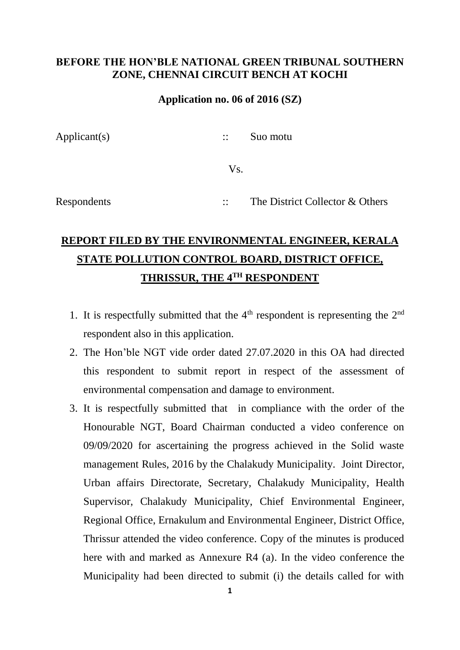## **BEFORE THE HON'BLE NATIONAL GREEN TRIBUNAL SOUTHERN ZONE, CHENNAI CIRCUIT BENCH AT KOCHI**

## **Application no. 06 of 2016 (SZ)**

Applicant(s) :: Suo motu Vs.

Respondents :: The District Collector & Others

## **REPORT FILED BY THE ENVIRONMENTAL ENGINEER, KERALA STATE POLLUTION CONTROL BOARD, DISTRICT OFFICE, THRISSUR, THE 4TH RESPONDENT**

- 1. It is respectfully submitted that the  $4<sup>th</sup>$  respondent is representing the  $2<sup>nd</sup>$ respondent also in this application.
- 2. The Hon'ble NGT vide order dated 27.07.2020 in this OA had directed this respondent to submit report in respect of the assessment of environmental compensation and damage to environment.
- 3. It is respectfully submitted that in compliance with the order of the Honourable NGT, Board Chairman conducted a video conference on 09/09/2020 for ascertaining the progress achieved in the Solid waste management Rules, 2016 by the Chalakudy Municipality. Joint Director, Urban affairs Directorate, Secretary, Chalakudy Municipality, Health Supervisor, Chalakudy Municipality, Chief Environmental Engineer, Regional Office, Ernakulum and Environmental Engineer, District Office, Thrissur attended the video conference. Copy of the minutes is produced here with and marked as Annexure R4 (a). In the video conference the Municipality had been directed to submit (i) the details called for with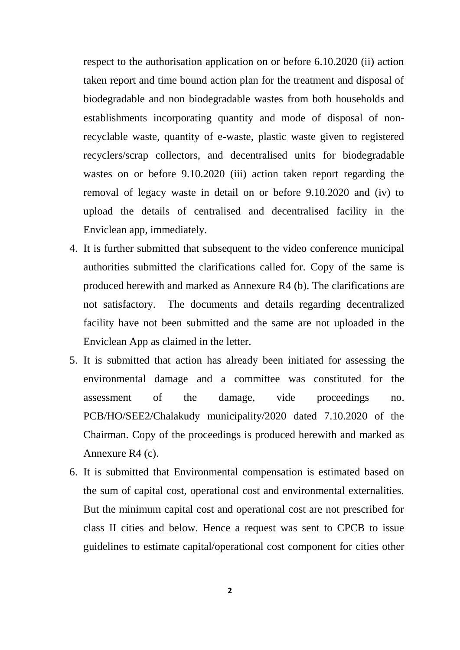respect to the authorisation application on or before 6.10.2020 (ii) action taken report and time bound action plan for the treatment and disposal of biodegradable and non biodegradable wastes from both households and establishments incorporating quantity and mode of disposal of nonrecyclable waste, quantity of e-waste, plastic waste given to registered recyclers/scrap collectors, and decentralised units for biodegradable wastes on or before 9.10.2020 (iii) action taken report regarding the removal of legacy waste in detail on or before 9.10.2020 and (iv) to upload the details of centralised and decentralised facility in the Enviclean app, immediately.

- 4. It is further submitted that subsequent to the video conference municipal authorities submitted the clarifications called for. Copy of the same is produced herewith and marked as Annexure R4 (b). The clarifications are not satisfactory. The documents and details regarding decentralized facility have not been submitted and the same are not uploaded in the Enviclean App as claimed in the letter.
- 5. It is submitted that action has already been initiated for assessing the environmental damage and a committee was constituted for the assessment of the damage, vide proceedings no. PCB/HO/SEE2/Chalakudy municipality/2020 dated 7.10.2020 of the Chairman. Copy of the proceedings is produced herewith and marked as Annexure R4 (c).
- 6. It is submitted that Environmental compensation is estimated based on the sum of capital cost, operational cost and environmental externalities. But the minimum capital cost and operational cost are not prescribed for class II cities and below. Hence a request was sent to CPCB to issue guidelines to estimate capital/operational cost component for cities other